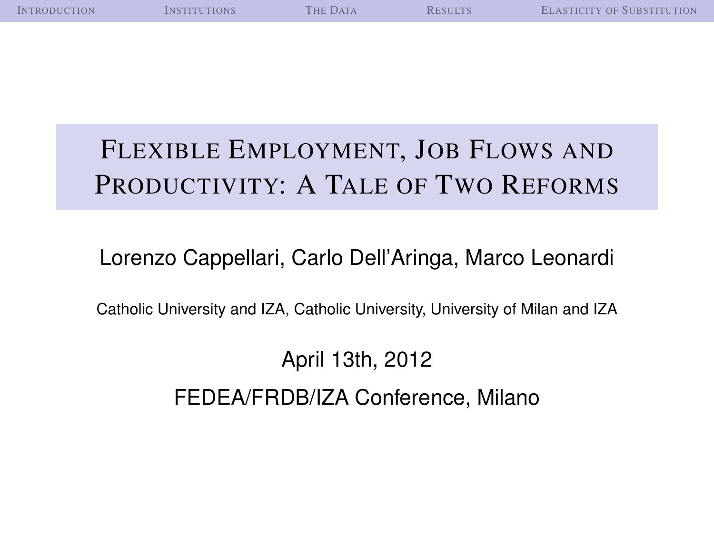| <b>INTRODUCTION</b> | <b>INSTITUTIONS</b> | THE DATA | <b>RESULTS</b> | <b>ELASTICITY OF SUBSTITUTION</b> |
|---------------------|---------------------|----------|----------------|-----------------------------------|
|                     |                     |          |                |                                   |
|                     |                     |          |                |                                   |
|                     |                     |          |                |                                   |
|                     |                     |          |                |                                   |
|                     |                     |          |                |                                   |
|                     |                     |          |                |                                   |

# FLEXIBLE EMPLOYMENT, JOB FLOWS AND PRODUCTIVITY: A TALE OF TWO REFORMS

#### Lorenzo Cappellari, Carlo Dell'Aringa, Marco Leonardi

Catholic University and IZA, Catholic University, University of Milan and IZA

April 13th, 2012 FEDEA/FRDB/IZA Conference, Milano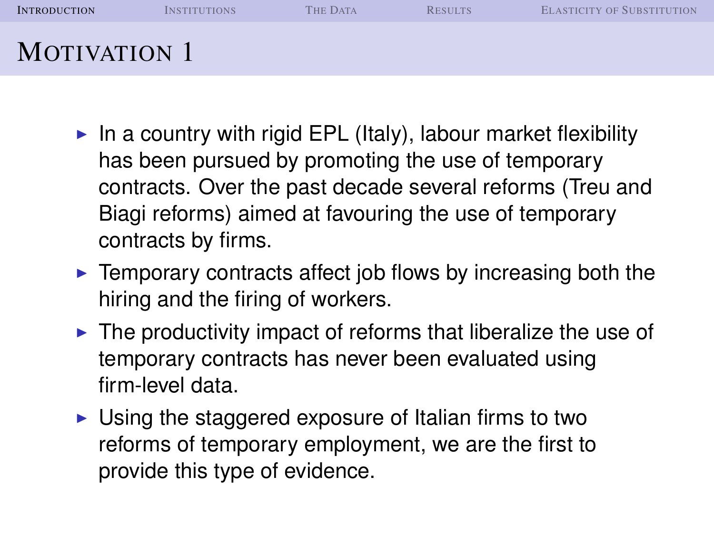| <b>INTRODUCTION</b> | <b>INSTITUTIONS</b> | <b>THE DATA</b> | <b>RESULTS</b> | <b>ELASTICITY OF SUBSTITUTION</b> |
|---------------------|---------------------|-----------------|----------------|-----------------------------------|
| <b>MOTIVATION 1</b> |                     |                 |                |                                   |

- In a country with rigid EPL (Italy), labour market flexibility has been pursued by promoting the use of temporary contracts. Over the past decade several reforms (Treu and Biagi reforms) aimed at favouring the use of temporary contracts by firms.
- $\blacktriangleright$  Temporary contracts affect job flows by increasing both the hiring and the firing of workers.
- $\triangleright$  The productivity impact of reforms that liberalize the use of temporary contracts has never been evaluated using firm-level data.
- <span id="page-1-0"></span> $\triangleright$  Using the staggered exposure of Italian firms to two reforms of temporary employment, we are the first to provide this type of evidence.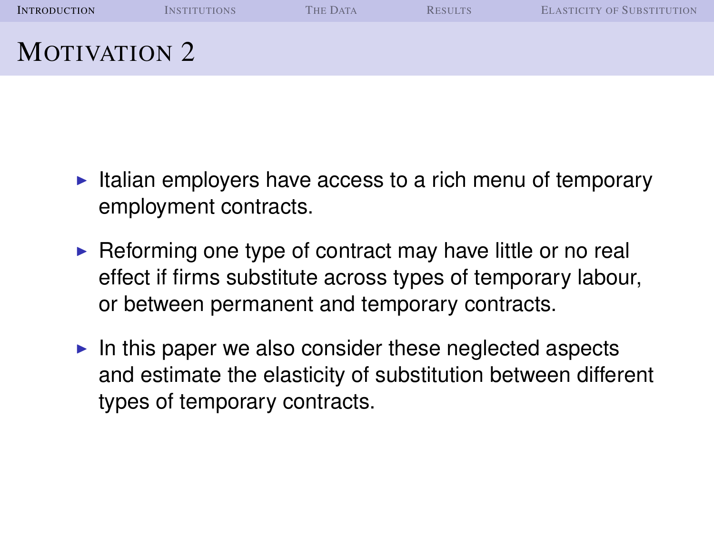| <b>INTRODUCTION</b> | <b>INSTITUTIONS</b> | <b>THE DATA</b> | <b>RESULTS</b> | <b>ELASTICITY OF SUBSTITUTION</b> |
|---------------------|---------------------|-----------------|----------------|-----------------------------------|
| <b>MOTIVATION 2</b> |                     |                 |                |                                   |

- $\blacktriangleright$  Italian employers have access to a rich menu of temporary employment contracts.
- $\triangleright$  Reforming one type of contract may have little or no real effect if firms substitute across types of temporary labour, or between permanent and temporary contracts.
- $\blacktriangleright$  In this paper we also consider these neglected aspects and estimate the elasticity of substitution between different types of temporary contracts.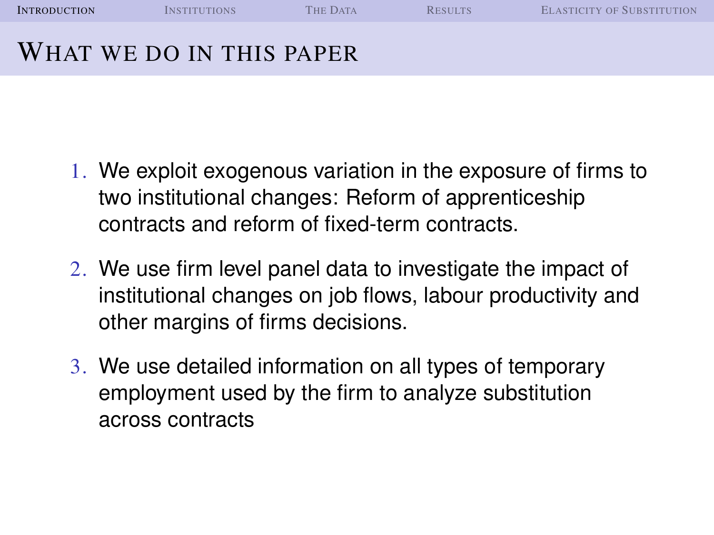| <b>INTRODUCTION</b> | <b>INSTITUTIONS</b>      | <b>THE DATA</b> | <b>RESILTS</b> | <b>ELASTICITY OF SUBSTITUTION</b> |
|---------------------|--------------------------|-----------------|----------------|-----------------------------------|
|                     | WHAT WE DO IN THIS PAPER |                 |                |                                   |

- 1. We exploit exogenous variation in the exposure of firms to two institutional changes: Reform of apprenticeship contracts and reform of fixed-term contracts.
- 2. We use firm level panel data to investigate the impact of institutional changes on job flows, labour productivity and other margins of firms decisions.
- 3. We use detailed information on all types of temporary employment used by the firm to analyze substitution across contracts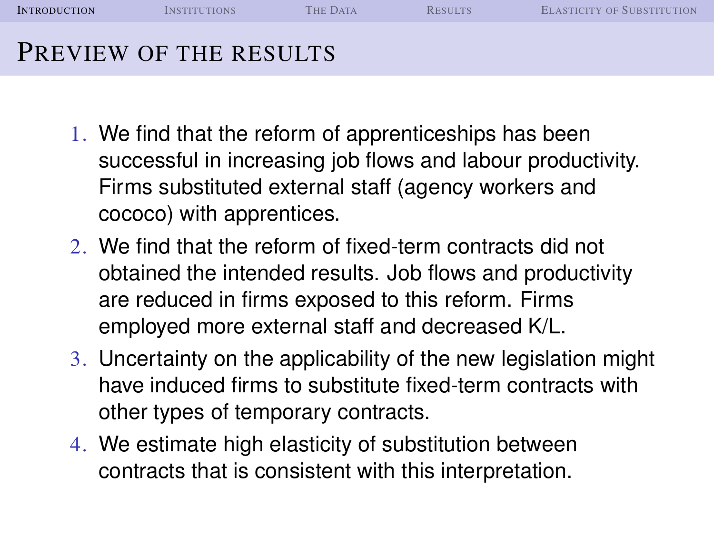| <b>INTRODUCTION</b> | <b>INSTITUTIONS</b>    | <b>THE DATA</b> | <b>RESILTS</b> | <b>ELASTICITY OF SUBSTITUTION</b> |
|---------------------|------------------------|-----------------|----------------|-----------------------------------|
|                     | PREVIEW OF THE RESULTS |                 |                |                                   |

- 1. We find that the reform of apprenticeships has been successful in increasing job flows and labour productivity. Firms substituted external staff (agency workers and cococo) with apprentices.
- 2. We find that the reform of fixed-term contracts did not obtained the intended results. Job flows and productivity are reduced in firms exposed to this reform. Firms employed more external staff and decreased K/L.
- 3. Uncertainty on the applicability of the new legislation might have induced firms to substitute fixed-term contracts with other types of temporary contracts.
- 4. We estimate high elasticity of substitution between contracts that is consistent with this interpretation.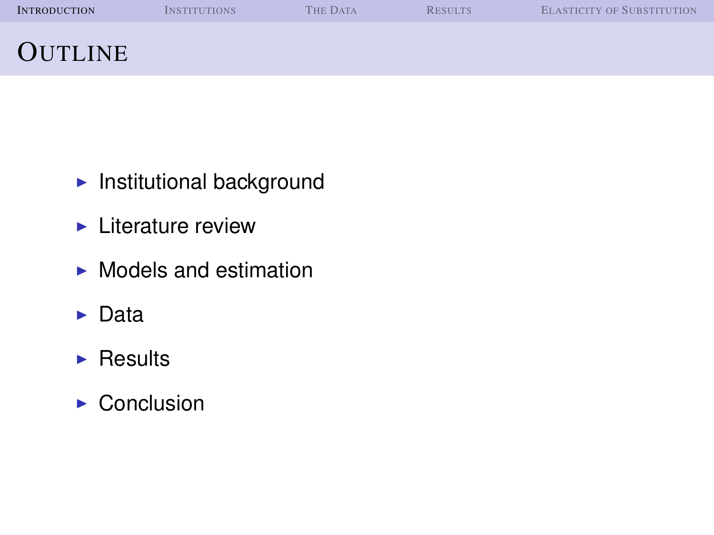| <b>INTRODUCTION</b> | <b>INSTITUTIONS</b> | <b>THE DATA</b> | <b>RESULTS</b> | <b>ELASTICITY OF SUBSTITUTION</b> |
|---------------------|---------------------|-----------------|----------------|-----------------------------------|
| <b>OUTLINE</b>      |                     |                 |                |                                   |

- $\blacktriangleright$  Institutional background
- $\blacktriangleright$  Literature review
- $\blacktriangleright$  Models and estimation
- $\blacktriangleright$  Data
- $\blacktriangleright$  Results
- $\triangleright$  Conclusion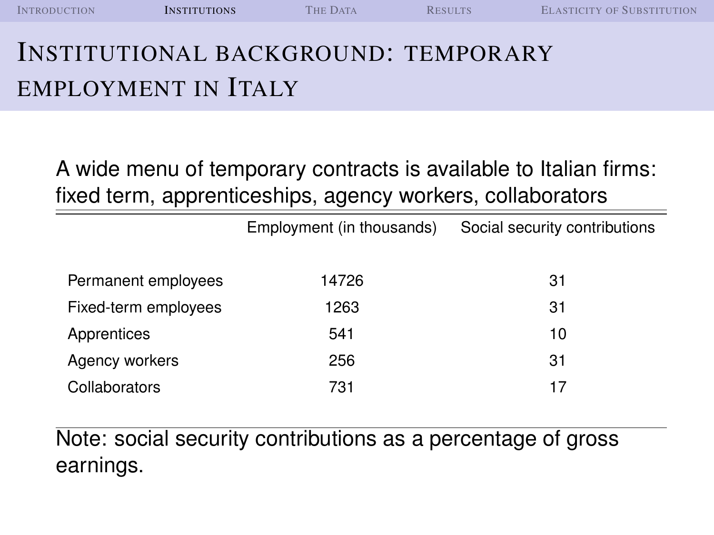| <b>INTRODUCTION</b>                        | <b>INSTITUTIONS</b> | <b>THE DATA</b> | <b>RESILTS</b> | <b>ELASTICITY OF SUBSTITUTION</b> |
|--------------------------------------------|---------------------|-----------------|----------------|-----------------------------------|
| <b>INSTITUTIONAL BACKGROUND: TEMPORARY</b> |                     |                 |                |                                   |

# EMPLOYMENT IN ITALY

A wide menu of temporary contracts is available to Italian firms: fixed term, apprenticeships, agency workers, collaborators

|                      | Employment (in thousands) | Social security contributions |
|----------------------|---------------------------|-------------------------------|
| Permanent employees  | 14726                     | 31                            |
| Fixed-term employees | 1263                      | 31                            |
| Apprentices          | 541                       | 10                            |
| Agency workers       | 256                       | 31                            |
| Collaborators        | 731                       | 17                            |

<span id="page-6-0"></span>Note: social security contributions as a percentage of gross earnings.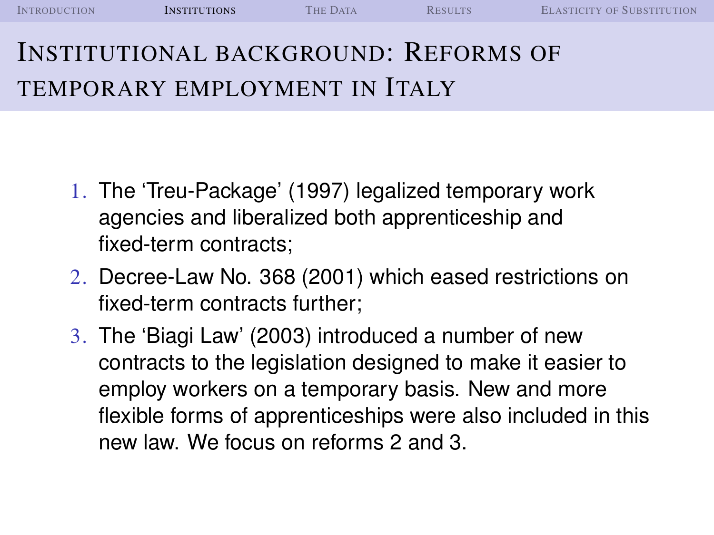| <b>INTRODUCTION</b> | <b>INSTITUTIONS</b> | <b>THE DATA</b> | RESULTS | <b>ELASTICITY OF SUBSTITUTION</b> |
|---------------------|---------------------|-----------------|---------|-----------------------------------|
|                     |                     |                 |         |                                   |

# INSTITUTIONAL BACKGROUND: REFORMS OF TEMPORARY EMPLOYMENT IN ITALY

- 1. The 'Treu-Package' (1997) legalized temporary work agencies and liberalized both apprenticeship and fixed-term contracts;
- 2. Decree-Law No. 368 (2001) which eased restrictions on fixed-term contracts further;
- 3. The 'Biagi Law' (2003) introduced a number of new contracts to the legislation designed to make it easier to employ workers on a temporary basis. New and more flexible forms of apprenticeships were also included in this new law. We focus on reforms 2 and 3.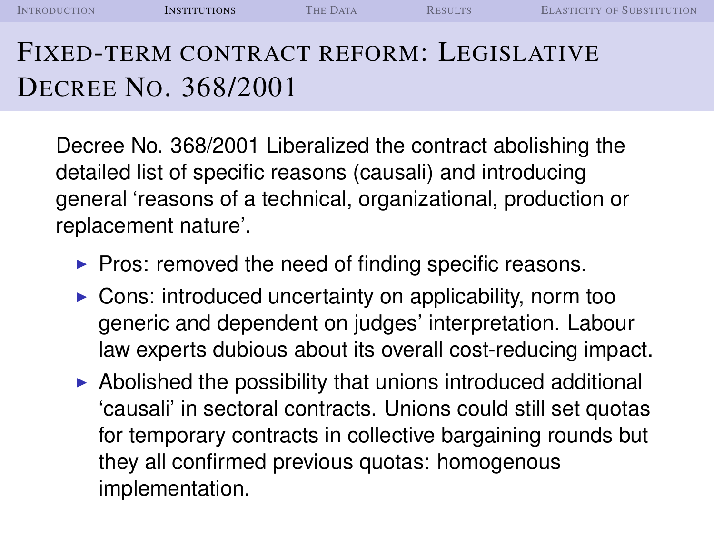| <b>INTRODUCTION</b> | <b>INSTITUTIONS</b> | <b>THE DATA</b> | <b>RESULTS</b> | <b>ELASTICITY OF SUBSTITUTION</b> |
|---------------------|---------------------|-----------------|----------------|-----------------------------------|
|---------------------|---------------------|-----------------|----------------|-----------------------------------|

# FIXED-TERM CONTRACT REFORM: LEGISLATIVE DECREE NO. 368/2001

Decree No. 368/2001 Liberalized the contract abolishing the detailed list of specific reasons (causali) and introducing general 'reasons of a technical, organizational, production or replacement nature'.

- $\blacktriangleright$  Pros: removed the need of finding specific reasons.
- $\triangleright$  Cons: introduced uncertainty on applicability, norm too generic and dependent on judges' interpretation. Labour law experts dubious about its overall cost-reducing impact.
- $\triangleright$  Abolished the possibility that unions introduced additional 'causali' in sectoral contracts. Unions could still set quotas for temporary contracts in collective bargaining rounds but they all confirmed previous quotas: homogenous implementation.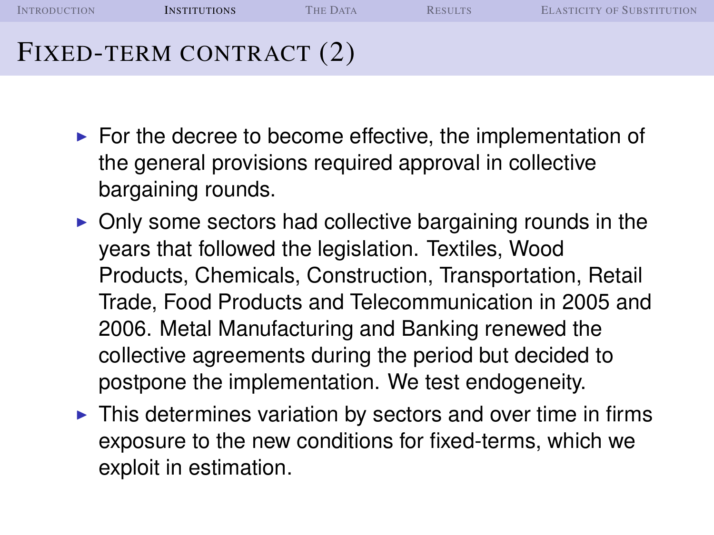I[NTRODUCTION](#page-1-0) **I[NSTITUTIONS](#page-6-0)** THE D[ATA](#page-14-0) R[ESULTS](#page-23-0) E[LASTICITY OF](#page-38-0) SUBSTITUTION FIXED-TERM CONTRACT (2)

- $\triangleright$  For the decree to become effective, the implementation of the general provisions required approval in collective bargaining rounds.
- $\triangleright$  Only some sectors had collective bargaining rounds in the years that followed the legislation. Textiles, Wood Products, Chemicals, Construction, Transportation, Retail Trade, Food Products and Telecommunication in 2005 and 2006. Metal Manufacturing and Banking renewed the collective agreements during the period but decided to postpone the implementation. We test endogeneity.
- $\triangleright$  This determines variation by sectors and over time in firms exposure to the new conditions for fixed-terms, which we exploit in estimation.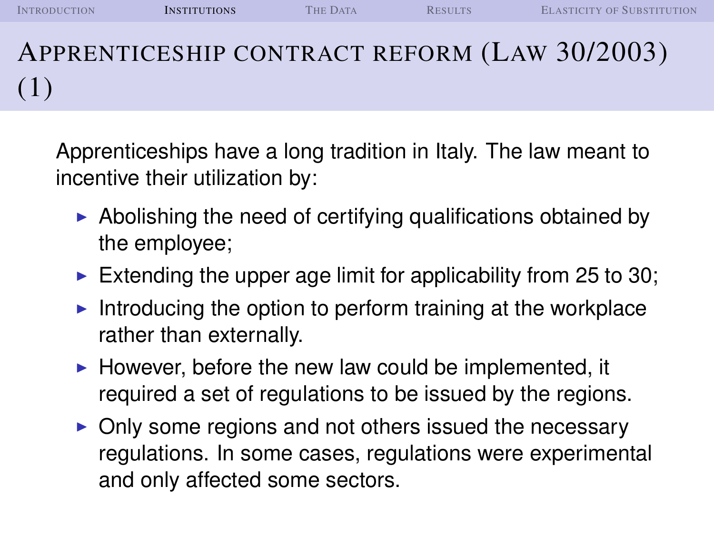I[NTRODUCTION](#page-1-0) **I[NSTITUTIONS](#page-6-0)** THE D[ATA](#page-14-0) R[ESULTS](#page-23-0) E[LASTICITY OF](#page-38-0) SUBSTITUTION APPRENTICESHIP CONTRACT REFORM (LAW 30/2003) (1)

Apprenticeships have a long tradition in Italy. The law meant to incentive their utilization by:

- $\triangleright$  Abolishing the need of certifying qualifications obtained by the employee;
- Extending the upper age limit for applicability from 25 to 30;
- Introducing the option to perform training at the workplace rather than externally.
- $\blacktriangleright$  However, before the new law could be implemented, it required a set of regulations to be issued by the regions.
- $\triangleright$  Only some regions and not others issued the necessary regulations. In some cases, regulations were experimental and only affected some sectors.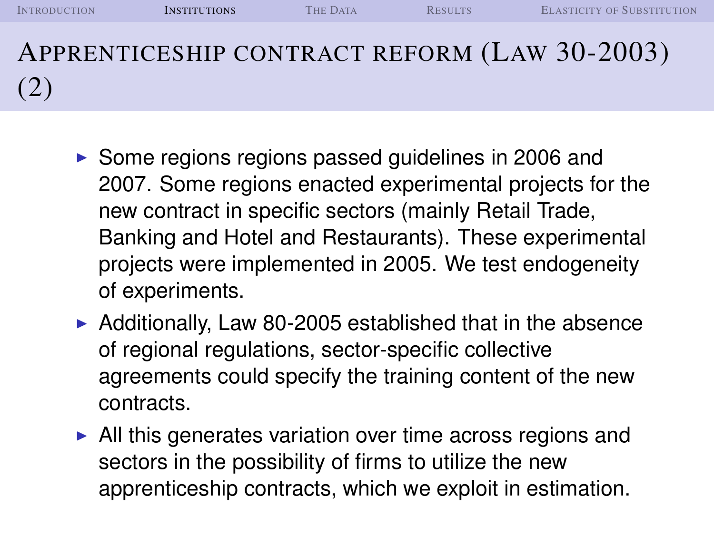I[NTRODUCTION](#page-1-0) **I[NSTITUTIONS](#page-6-0)** THE D[ATA](#page-14-0) R[ESULTS](#page-23-0) E[LASTICITY OF](#page-38-0) SUBSTITUTION APPRENTICESHIP CONTRACT REFORM (LAW 30-2003) (2)

- $\triangleright$  Some regions regions passed guidelines in 2006 and 2007. Some regions enacted experimental projects for the new contract in specific sectors (mainly Retail Trade, Banking and Hotel and Restaurants). These experimental projects were implemented in 2005. We test endogeneity of experiments.
- $\triangleright$  Additionally, Law 80-2005 established that in the absence of regional regulations, sector-specific collective agreements could specify the training content of the new contracts.
- $\blacktriangleright$  All this generates variation over time across regions and sectors in the possibility of firms to utilize the new apprenticeship contracts, which we exploit in estimation.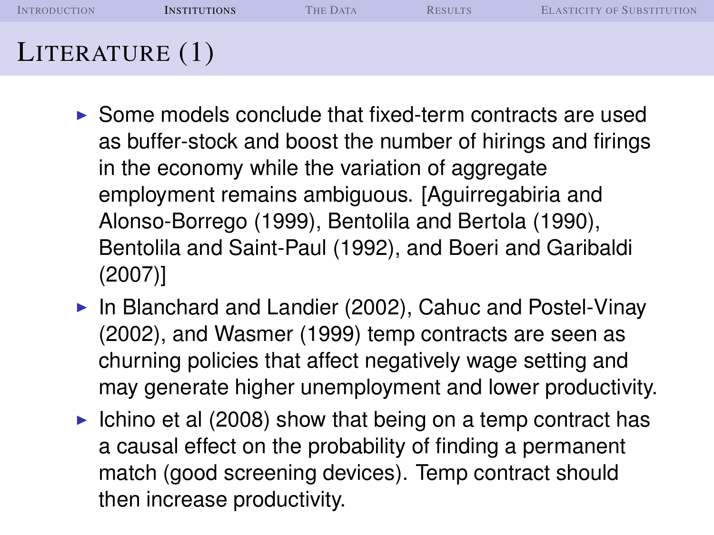| <b>INTRODUCTION</b> | <b>INSTITUTIONS</b> | <b>THE DATA</b> | <b>RESULTS</b> | <b>ELASTICITY OF SUBSTITUTION</b> |
|---------------------|---------------------|-----------------|----------------|-----------------------------------|
| LITERATURE $(1)$    |                     |                 |                |                                   |

- $\triangleright$  Some models conclude that fixed-term contracts are used as buffer-stock and boost the number of hirings and firings in the economy while the variation of aggregate employment remains ambiguous. [Aguirregabiria and Alonso-Borrego (1999), Bentolila and Bertola (1990), Bentolila and Saint-Paul (1992), and Boeri and Garibaldi (2007)]
- $\blacktriangleright$  In Blanchard and Landier (2002), Cahuc and Postel-Vinay (2002), and Wasmer (1999) temp contracts are seen as churning policies that affect negatively wage setting and may generate higher unemployment and lower productivity.
- Ichino et al (2008) show that being on a temp contract has a causal effect on the probability of finding a permanent match (good screening devices). Temp contract should then increase productivity.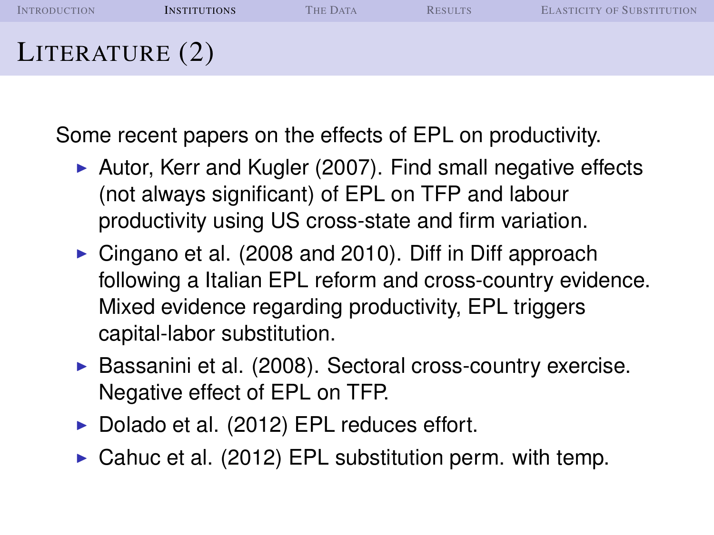| <b>INTRODUCTION</b> | <b>INSTITUTIONS</b> | <b>THE DATA</b> | <b>RESULTS</b> | <b>ELASTICITY OF SUBSTITUTION</b> |
|---------------------|---------------------|-----------------|----------------|-----------------------------------|
| LITERATURE $(2)$    |                     |                 |                |                                   |

Some recent papers on the effects of EPL on productivity.

- $\triangleright$  Autor, Kerr and Kugler (2007). Find small negative effects (not always significant) of EPL on TFP and labour productivity using US cross-state and firm variation.
- $\triangleright$  Cingano et al. (2008 and 2010). Diff in Diff approach following a Italian EPL reform and cross-country evidence. Mixed evidence regarding productivity, EPL triggers capital-labor substitution.
- $\triangleright$  Bassanini et al. (2008). Sectoral cross-country exercise. Negative effect of EPL on TFP.
- $\triangleright$  Dolado et al. (2012) EPL reduces effort.
- $\triangleright$  Cahuc et al. (2012) EPL substitution perm. with temp.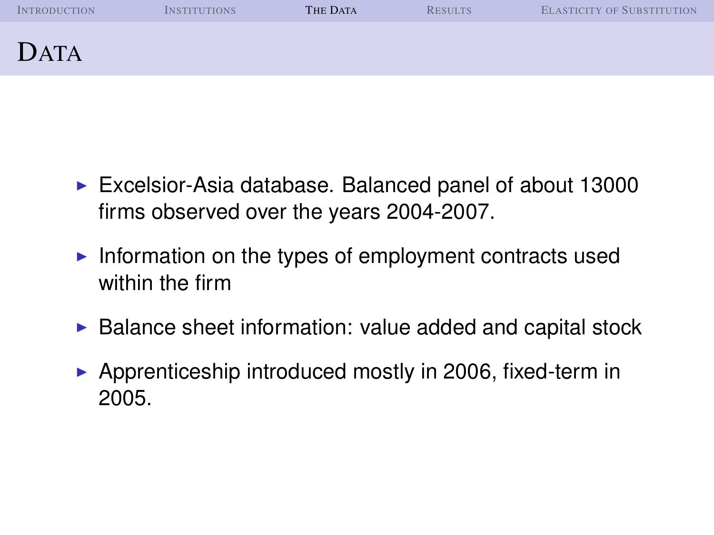| <b>INTRODUCTION</b> | <b>INSTITUTIONS</b> | THE DATA | <b>RESULTS</b> | <b>ELASTICITY OF SUBSTITUTION</b> |
|---------------------|---------------------|----------|----------------|-----------------------------------|
| DATA                |                     |          |                |                                   |

- $\blacktriangleright$  Excelsior-Asia database. Balanced panel of about 13000 firms observed over the years 2004-2007.
- Information on the types of employment contracts used within the firm
- $\triangleright$  Balance sheet information: value added and capital stock
- <span id="page-14-0"></span> $\triangleright$  Apprenticeship introduced mostly in 2006, fixed-term in 2005.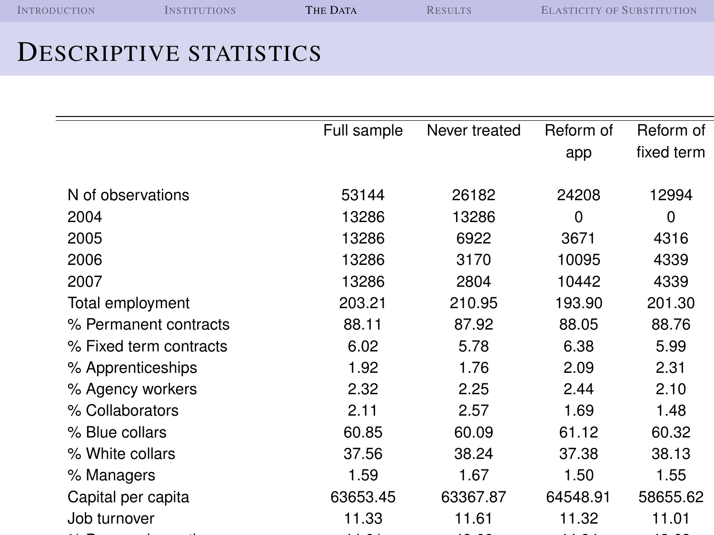| <b>INTRODUCTION</b> | <b>INSTITUTIONS</b> | THE DATA | <b>RESULTS</b> | <b>ELASTICITY OF SUBSTITUTION</b> |
|---------------------|---------------------|----------|----------------|-----------------------------------|
|                     |                     |          |                |                                   |

#### DESCRIPTIVE STATISTICS

|                        | Full sample | Never treated | Reform of | Reform of   |
|------------------------|-------------|---------------|-----------|-------------|
|                        |             |               | app       | fixed term  |
| N of observations      | 53144       | 26182         | 24208     | 12994       |
| 2004                   | 13286       | 13286         | 0         | $\mathbf 0$ |
| 2005                   | 13286       | 6922          | 3671      | 4316        |
| 2006                   | 13286       | 3170          | 10095     | 4339        |
| 2007                   | 13286       | 2804          | 10442     | 4339        |
| Total employment       | 203.21      | 210.95        | 193.90    | 201.30      |
| % Permanent contracts  | 88.11       | 87.92         | 88.05     | 88.76       |
| % Fixed term contracts | 6.02        | 5.78          | 6.38      | 5.99        |
| % Apprenticeships      | 1.92        | 1.76          | 2.09      | 2.31        |
| % Agency workers       | 2.32        | 2.25          | 2.44      | 2.10        |
| % Collaborators        | 2.11        | 2.57          | 1.69      | 1.48        |
| % Blue collars         | 60.85       | 60.09         | 61.12     | 60.32       |
| % White collars        | 37.56       | 38.24         | 37.38     | 38.13       |
| % Managers             | 1.59        | 1.67          | 1.50      | 1.55        |
| Capital per capita     | 63653.45    | 63367.87      | 64548.91  | 58655.62    |
| Job turnover           | 11.33       | 11.61         | 11.32     | 11.01       |
|                        |             |               |           |             |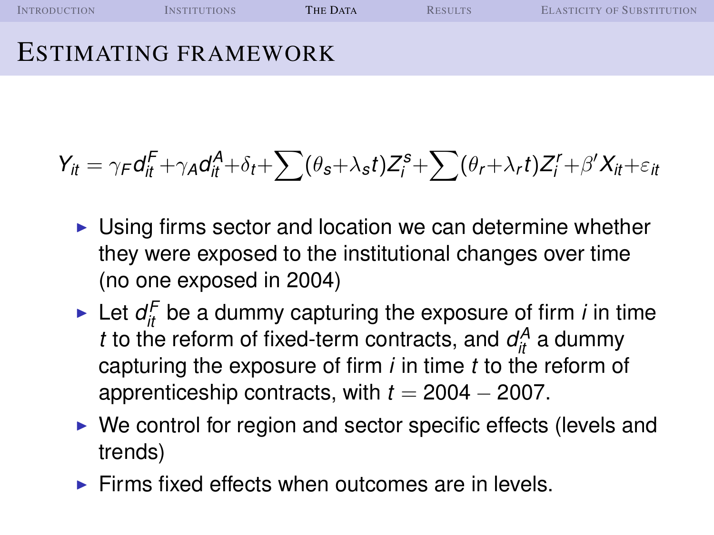| <b>INTRODUCTION</b> | <b>INSTITUTIONS</b>         | <b>THE DATA</b> | <b>RESILTS</b> | ELASTICITY OF SUBSTITUTION |
|---------------------|-----------------------------|-----------------|----------------|----------------------------|
|                     | <b>ESTIMATING FRAMEWORK</b> |                 |                |                            |

$$
Y_{it} = \gamma_F d_{it}^F + \gamma_A d_{it}^A + \delta_t + \sum (\theta_s + \lambda_s t) Z_i^s + \sum (\theta_r + \lambda_r t) Z_i^r + \beta' X_{it} + \varepsilon_{it}
$$

- $\triangleright$  Using firms sector and location we can determine whether they were exposed to the institutional changes over time (no one exposed in 2004)
- In Let  $d_{it}^F$  be a dummy capturing the exposure of firm *i* in time *t* to the reform of fixed-term contracts, and  $d<sub>it</sub><sup>A</sup>$  a dummy capturing the exposure of firm *i* in time *t* to the reform of apprenticeship contracts, with  $t = 2004 - 2007$ .
- $\triangleright$  We control for region and sector specific effects (levels and trends)
- $\triangleright$  Firms fixed effects when outcomes are in levels.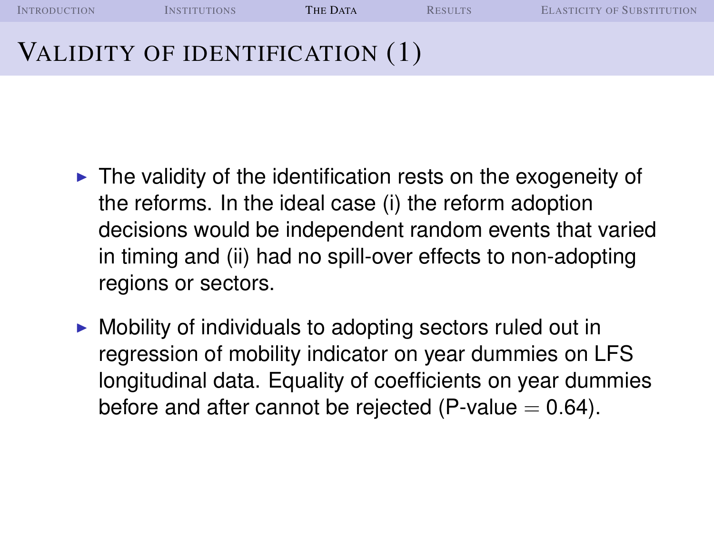I[NTRODUCTION](#page-1-0) I[NSTITUTIONS](#page-6-0) **THE D[ATA](#page-14-0)** R[ESULTS](#page-23-0) E[LASTICITY OF](#page-38-0) SUBSTITUTION VALIDITY OF IDENTIFICATION (1)

- $\blacktriangleright$  The validity of the identification rests on the exogeneity of the reforms. In the ideal case (i) the reform adoption decisions would be independent random events that varied in timing and (ii) had no spill-over effects to non-adopting regions or sectors.
- $\triangleright$  Mobility of individuals to adopting sectors ruled out in regression of mobility indicator on year dummies on LFS longitudinal data. Equality of coefficients on year dummies before and after cannot be rejected (P-value  $= 0.64$ ).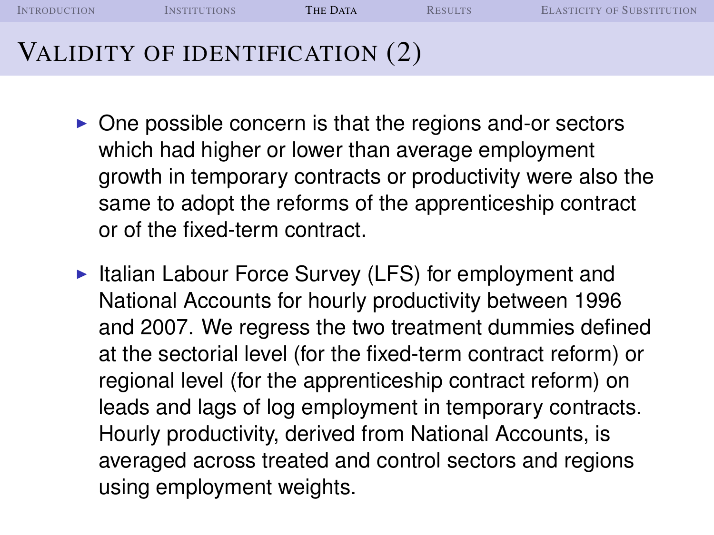I[NTRODUCTION](#page-1-0) I[NSTITUTIONS](#page-6-0) **THE D[ATA](#page-14-0)** R[ESULTS](#page-23-0) E[LASTICITY OF](#page-38-0) SUBSTITUTION VALIDITY OF IDENTIFICATION (2)

- $\triangleright$  One possible concern is that the regions and-or sectors which had higher or lower than average employment growth in temporary contracts or productivity were also the same to adopt the reforms of the apprenticeship contract or of the fixed-term contract.
- $\triangleright$  Italian Labour Force Survey (LFS) for employment and National Accounts for hourly productivity between 1996 and 2007. We regress the two treatment dummies defined at the sectorial level (for the fixed-term contract reform) or regional level (for the apprenticeship contract reform) on leads and lags of log employment in temporary contracts. Hourly productivity, derived from National Accounts, is averaged across treated and control sectors and regions using employment weights.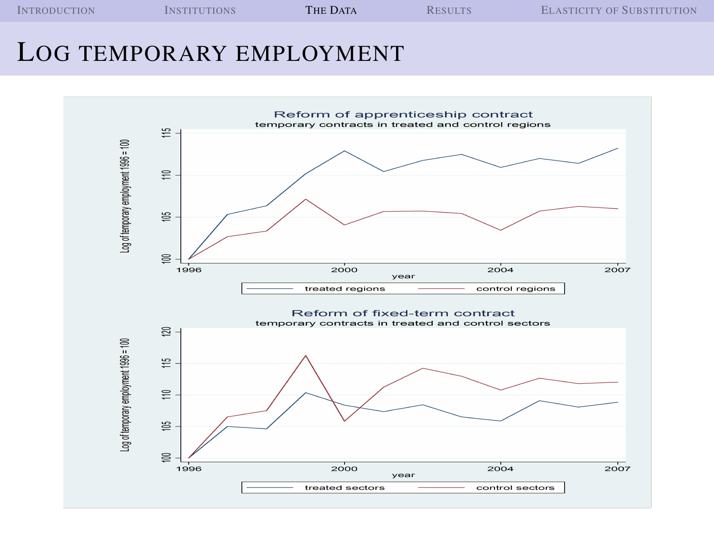I[NTRODUCTION](#page-1-0) I[NSTITUTIONS](#page-6-0) **THE D[ATA](#page-14-0)** R[ESULTS](#page-23-0) **E[LASTICITY OF](#page-38-0) SUBSTITUTION** 

#### LOG TEMPORARY EMPLOYMENT

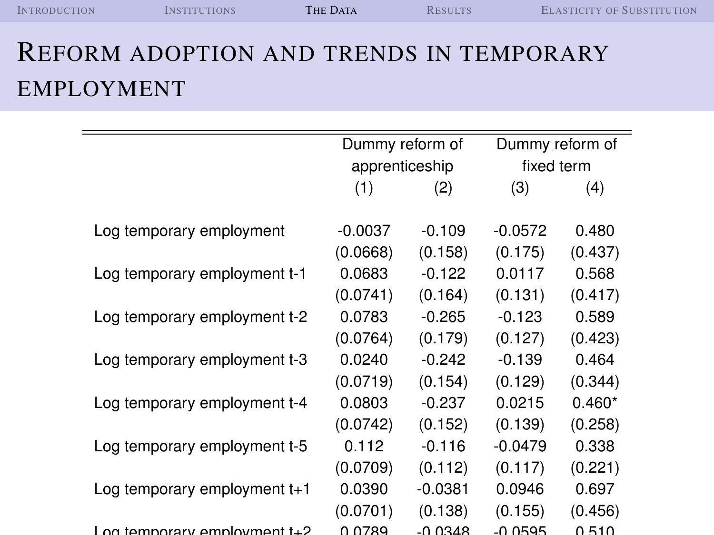| <b>INTRODUCTION</b> | <b>NSTITUTIONS</b> | <b>THE DATA</b> | <b>RESULTS</b> | <b>ELASTICITY OF SUBSTITUTION</b> |
|---------------------|--------------------|-----------------|----------------|-----------------------------------|
|                     |                    |                 |                |                                   |

# REFORM ADOPTION AND TRENDS IN TEMPORARY EMPLOYMENT

|                               | Dummy reform of |           |            | Dummy reform of |
|-------------------------------|-----------------|-----------|------------|-----------------|
|                               | apprenticeship  |           | fixed term |                 |
|                               | (1)             | (2)       | (3)        | (4)             |
| Log temporary employment      | $-0.0037$       | $-0.109$  | $-0.0572$  | 0.480           |
|                               | (0.0668)        | (0.158)   | (0.175)    | (0.437)         |
| Log temporary employment t-1  | 0.0683          | $-0.122$  | 0.0117     | 0.568           |
|                               | (0.0741)        | (0.164)   | (0.131)    | (0.417)         |
| Log temporary employment t-2  | 0.0783          | $-0.265$  | $-0.123$   | 0.589           |
|                               | (0.0764)        | (0.179)   | (0.127)    | (0.423)         |
| Log temporary employment t-3  | 0.0240          | $-0.242$  | $-0.139$   | 0.464           |
|                               | (0.0719)        | (0.154)   | (0.129)    | (0.344)         |
| Log temporary employment t-4  | 0.0803          | $-0.237$  | 0.0215     | $0.460*$        |
|                               | (0.0742)        | (0.152)   | (0.139)    | (0.258)         |
| Log temporary employment t-5  | 0.112           | $-0.116$  | -0.0479    | 0.338           |
|                               | (0.0709)        | (0.112)   | (0.117)    | (0.221)         |
| Log temporary employment t+1  | 0.0390          | $-0.0381$ | 0.0946     | 0.697           |
|                               | (0.0701)        | (0.138)   | (0.155)    | (0.456)         |
| Log temporary employment to 2 | በ በ7Ջ0          | מ⊿ג∩ ∩.   | -0 0505    | 0.510           |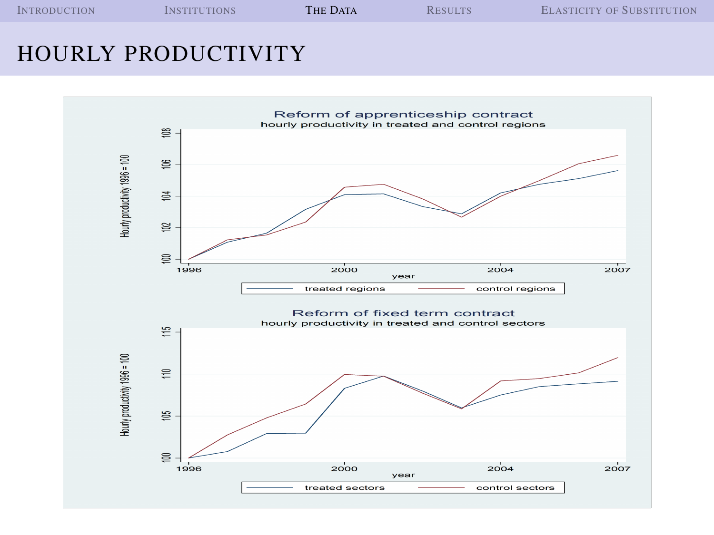| <b>INTRODUCTION</b> | <b>INSTITUTIONS</b> | <b>THE DATA</b> | <b>RESULTS</b> | <b>ELASTICITY OF SUBSTITUTION</b> |
|---------------------|---------------------|-----------------|----------------|-----------------------------------|
|                     |                     |                 |                |                                   |

#### HOURLY PRODUCTIVITY

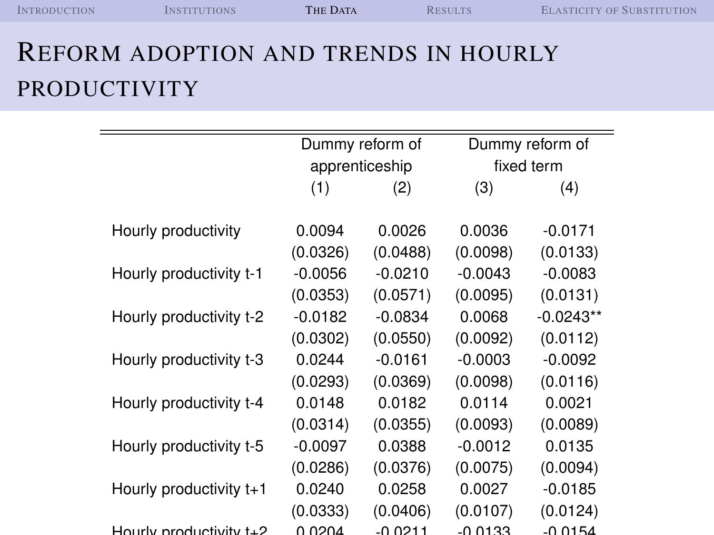| <b>INTRODUCTION</b> | <i><b>INSTITUTIONS</b></i> | THE DATA | <b>RESULTS</b> | <b>ELASTICITY OF SUBSTITUTION</b> |
|---------------------|----------------------------|----------|----------------|-----------------------------------|
|                     |                            |          |                |                                   |

## REFORM ADOPTION AND TRENDS IN HOURLY PRODUCTIVITY

|                           | Dummy reform of<br>Dummy reform of |                |            |             |  |  |
|---------------------------|------------------------------------|----------------|------------|-------------|--|--|
|                           |                                    | apprenticeship | fixed term |             |  |  |
|                           |                                    |                |            |             |  |  |
|                           | (1)                                | (2)            | (3)        | (4)         |  |  |
| Hourly productivity       | 0.0094                             | 0.0026         | 0.0036     | $-0.0171$   |  |  |
|                           | (0.0326)                           | (0.0488)       | (0.0098)   | (0.0133)    |  |  |
| Hourly productivity t-1   | $-0.0056$                          | $-0.0210$      | $-0.0043$  | $-0.0083$   |  |  |
|                           | (0.0353)                           | (0.0571)       | (0.0095)   | (0.0131)    |  |  |
| Hourly productivity t-2   | $-0.0182$                          | $-0.0834$      | 0.0068     | $-0.0243**$ |  |  |
|                           | (0.0302)                           | (0.0550)       | (0.0092)   | (0.0112)    |  |  |
| Hourly productivity t-3   | 0.0244                             | $-0.0161$      | $-0.0003$  | $-0.0092$   |  |  |
|                           | (0.0293)                           | (0.0369)       | (0.0098)   | (0.0116)    |  |  |
| Hourly productivity t-4   | 0.0148                             | 0.0182         | 0.0114     | 0.0021      |  |  |
|                           | (0.0314)                           | (0.0355)       | (0.0093)   | (0.0089)    |  |  |
| Hourly productivity t-5   | $-0.0097$                          | 0.0388         | $-0.0012$  | 0.0135      |  |  |
|                           | (0.0286)                           | (0.0376)       | (0.0075)   | (0.0094)    |  |  |
| Hourly productivity $t+1$ | 0.0240                             | 0.0258         | 0.0027     | $-0.0185$   |  |  |
|                           | (0.0333)                           | (0.0406)       | (0.0107)   | (0.0124)    |  |  |
| Hourly productivity to 2  | n non <i>i</i>                     | -N N 211       | -U U J 33  | $-0.0154$   |  |  |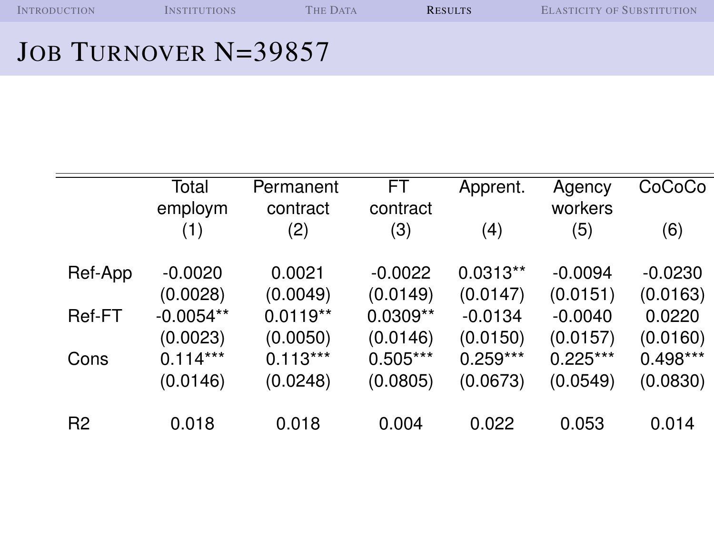## JOB TURNOVER N=39857

<span id="page-23-0"></span>

|                | Total<br>employm | Permanent<br>contract | <b>FT</b><br>contract | Apprent.   | Agency<br>workers | CoCoCo     |
|----------------|------------------|-----------------------|-----------------------|------------|-------------------|------------|
|                | (1)              | (2)                   | (3)                   | (4)        | (5)               | (6)        |
| Ref-App        | $-0.0020$        | 0.0021                | $-0.0022$             | $0.0313**$ | $-0.0094$         | $-0.0230$  |
|                | (0.0028)         | (0.0049)              | (0.0149)              | (0.0147)   | (0.0151)          | (0.0163)   |
| Ref-FT         | $-0.0054**$      | $0.0119**$            | $0.0309**$            | $-0.0134$  | $-0.0040$         | 0.0220     |
|                | (0.0023)         | (0.0050)              | (0.0146)              | (0.0150)   | (0.0157)          | (0.0160)   |
| Cons           | $0.114***$       | $0.113***$            | $0.505***$            | $0.259***$ | $0.225***$        | $0.498***$ |
|                | (0.0146)         | (0.0248)              | (0.0805)              | (0.0673)   | (0.0549)          | (0.0830)   |
| R <sub>2</sub> | 0.018            | 0.018                 | 0.004                 | 0.022      | 0.053             | 0.014      |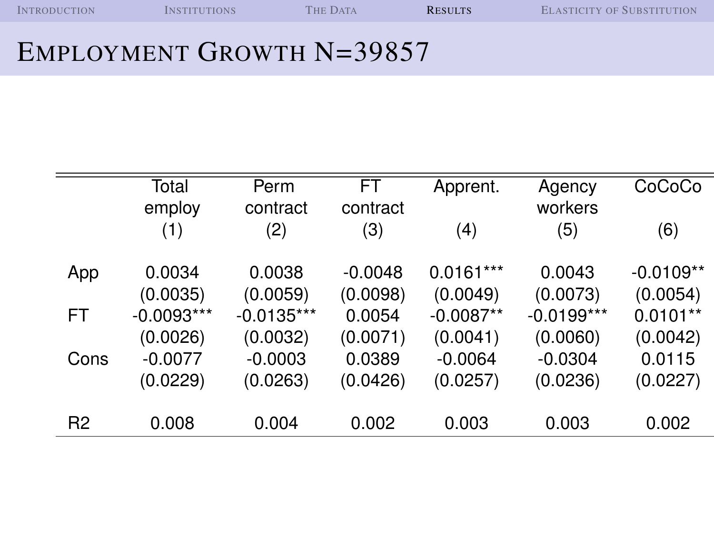| <b>INTRODUCTION</b> | <b>INSTITUTIONS</b> | <b>THE DATA</b><br><b>RESULTS</b> |  | <b>ELASTICITY OF SUBSTITUTION</b> |
|---------------------|---------------------|-----------------------------------|--|-----------------------------------|
|                     |                     |                                   |  |                                   |

#### EMPLOYMENT GROWTH N=39857

|                | Total        | Perm         | FT        | Apprent.    | Agency       | CoCoCo      |
|----------------|--------------|--------------|-----------|-------------|--------------|-------------|
|                | employ       | contract     | contract  |             | workers      |             |
|                | (1)          | (2)          | (3)       | (4)         | (5)          | (6)         |
| App            | 0.0034       | 0.0038       | $-0.0048$ | $0.0161***$ | 0.0043       | $-0.0109**$ |
|                | (0.0035)     | (0.0059)     | (0.0098)  | (0.0049)    | (0.0073)     | (0.0054)    |
| <b>FT</b>      | $-0.0093***$ | $-0.0135***$ | 0.0054    | $-0.0087**$ | $-0.0199***$ | $0.0101**$  |
|                | (0.0026)     | (0.0032)     | (0.0071)  | (0.0041)    | (0.0060)     | (0.0042)    |
| Cons           | $-0.0077$    | $-0.0003$    | 0.0389    | $-0.0064$   | $-0.0304$    | 0.0115      |
|                | (0.0229)     | (0.0263)     | (0.0426)  | (0.0257)    | (0.0236)     | (0.0227)    |
|                |              |              |           |             |              |             |
| R <sub>2</sub> | 0.008        | 0.004        | 0.002     | 0.003       | 0.003        | 0.002       |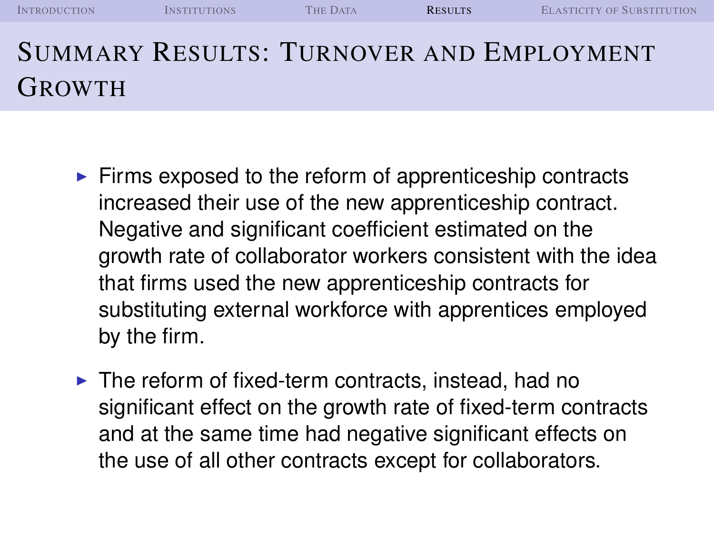| <b>INTRODUCTION</b> | <b>INSTITUTIONS</b> | <b>THE DATA</b> | <b>RESULTS</b> | <b>ELASTICITY OF SUBSTITUTION</b>               |
|---------------------|---------------------|-----------------|----------------|-------------------------------------------------|
|                     |                     |                 |                | <b>SUMMARY RESULTS: TURNOVER AND EMPLOYMENT</b> |
| <b>GROWTH</b>       |                     |                 |                |                                                 |

- $\triangleright$  Firms exposed to the reform of apprenticeship contracts increased their use of the new apprenticeship contract. Negative and significant coefficient estimated on the growth rate of collaborator workers consistent with the idea that firms used the new apprenticeship contracts for substituting external workforce with apprentices employed by the firm.
- $\blacktriangleright$  The reform of fixed-term contracts, instead, had no significant effect on the growth rate of fixed-term contracts and at the same time had negative significant effects on the use of all other contracts except for collaborators.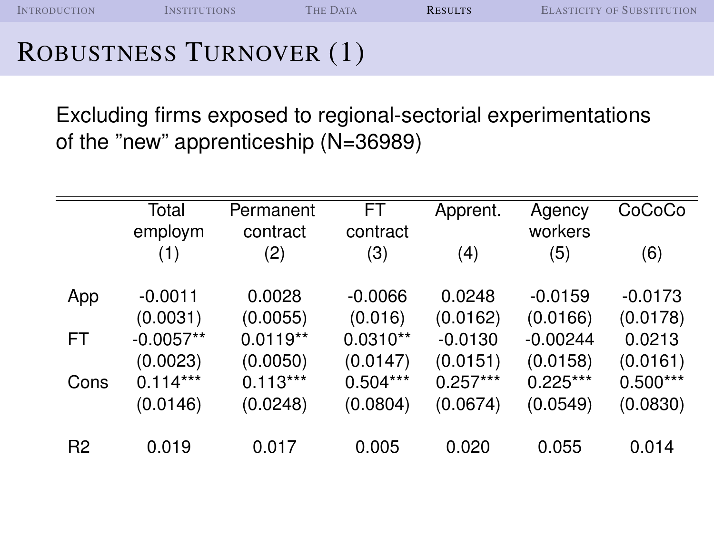## ROBUSTNESS TURNOVER (1)

Excluding firms exposed to regional-sectorial experimentations of the "new" apprenticeship (N=36989)

|                | Total       | Permanent  | FT.        | Apprent.   | Agency     | CoCoCo     |
|----------------|-------------|------------|------------|------------|------------|------------|
|                | employm     | contract   | contract   |            | workers    |            |
|                | (1)         | (2)        | (3)        | (4)        | (5)        | (6)        |
| App            | $-0.0011$   | 0.0028     | $-0.0066$  | 0.0248     | $-0.0159$  | $-0.0173$  |
|                | (0.0031)    | (0.0055)   | (0.016)    | (0.0162)   | (0.0166)   | (0.0178)   |
| FT             | $-0.0057**$ | $0.0119**$ | $0.0310**$ | $-0.0130$  | $-0.00244$ | 0.0213     |
|                | (0.0023)    | (0.0050)   | (0.0147)   | (0.0151)   | (0.0158)   | (0.0161)   |
| Cons           | $0.114***$  | $0.113***$ | $0.504***$ | $0.257***$ | $0.225***$ | $0.500***$ |
|                | (0.0146)    | (0.0248)   | (0.0804)   | (0.0674)   | (0.0549)   | (0.0830)   |
|                |             |            |            |            |            |            |
| R <sub>2</sub> | 0.019       | 0.017      | 0.005      | 0.020      | 0.055      | 0.014      |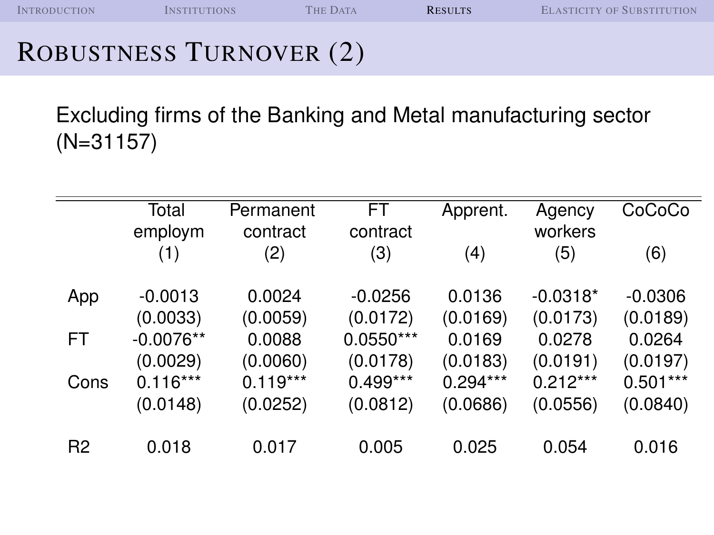## ROBUSTNESS TURNOVER (2)

Excluding firms of the Banking and Metal manufacturing sector (N=31157)

|                | Total<br>employm | Permanent<br>contract | <b>FT</b><br>contract | Apprent.   | Agency<br>workers | CoCoCo     |
|----------------|------------------|-----------------------|-----------------------|------------|-------------------|------------|
|                | (1)              | (2)                   | (3)                   | (4)        | (5)               | (6)        |
| App            | $-0.0013$        | 0.0024                | $-0.0256$             | 0.0136     | $-0.0318*$        | $-0.0306$  |
|                | (0.0033)         | (0.0059)              | (0.0172)              | (0.0169)   | (0.0173)          | (0.0189)   |
| FT             | $-0.0076**$      | 0.0088                | $0.0550***$           | 0.0169     | 0.0278            | 0.0264     |
|                | (0.0029)         | (0.0060)              | (0.0178)              | (0.0183)   | (0.0191)          | (0.0197)   |
| Cons           | $0.116***$       | $0.119***$            | $0.499***$            | $0.294***$ | $0.212***$        | $0.501***$ |
|                | (0.0148)         | (0.0252)              | (0.0812)              | (0.0686)   | (0.0556)          | (0.0840)   |
| R <sub>2</sub> | 0.018            | 0.017                 | 0.005                 | 0.025      | 0.054             | 0.016      |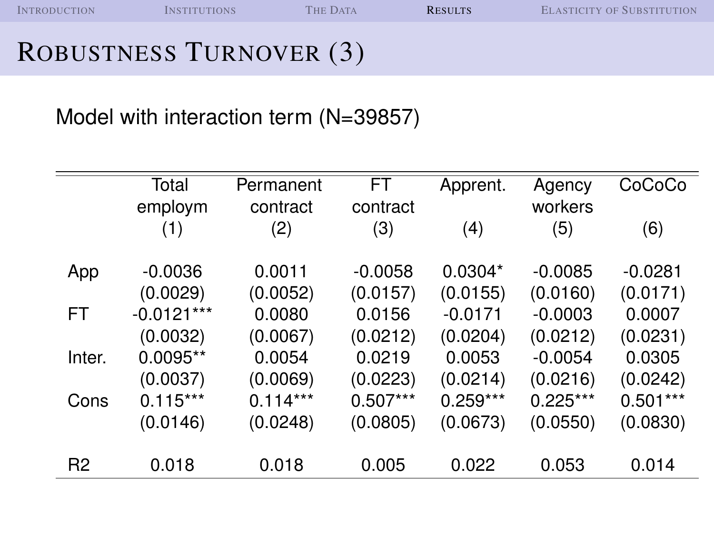I[NTRODUCTION](#page-1-0) I[NSTITUTIONS](#page-6-0) THE D[ATA](#page-14-0) **R[ESULTS](#page-23-0)** E[LASTICITY OF](#page-38-0) SUBSTITUTION

#### ROBUSTNESS TURNOVER (3)

Model with interaction term (N=39857)

|                | Total        | Permanent  | <b>FT</b>  | Apprent.   | Agency     | CoCoCo     |
|----------------|--------------|------------|------------|------------|------------|------------|
|                | employm      | contract   | contract   |            | workers    |            |
|                | (1)          | (2)        | (3)        | (4)        | (5)        | (6)        |
|                |              |            |            |            |            |            |
| App            | $-0.0036$    | 0.0011     | $-0.0058$  | $0.0304*$  | $-0.0085$  | $-0.0281$  |
|                | (0.0029)     | (0.0052)   | (0.0157)   | (0.0155)   | (0.0160)   | (0.0171)   |
| <b>FT</b>      | $-0.0121***$ | 0.0080     | 0.0156     | $-0.0171$  | $-0.0003$  | 0.0007     |
|                | (0.0032)     | (0.0067)   | (0.0212)   | (0.0204)   | (0.0212)   | (0.0231)   |
| Inter.         | $0.0095**$   | 0.0054     | 0.0219     | 0.0053     | $-0.0054$  | 0.0305     |
|                | (0.0037)     | (0.0069)   | (0.0223)   | (0.0214)   | (0.0216)   | (0.0242)   |
| Cons           | $0.115***$   | $0.114***$ | $0.507***$ | $0.259***$ | $0.225***$ | $0.501***$ |
|                | (0.0146)     | (0.0248)   | (0.0805)   | (0.0673)   | (0.0550)   | (0.0830)   |
|                |              |            |            |            |            |            |
| R <sub>2</sub> | 0.018        | 0.018      | 0.005      | 0.022      | 0.053      | 0.014      |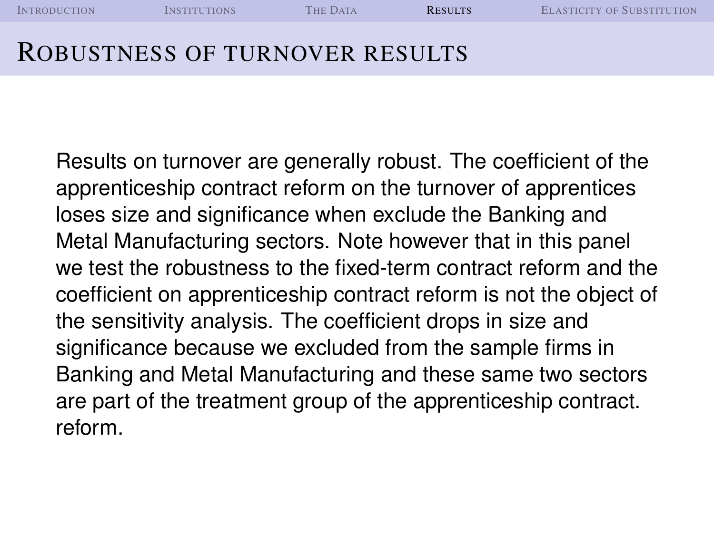| <b>INTRODUCTION</b>            | <i><b>INSTITUTIONS</b></i> | <b>THE DATA</b> | <b>RESULTS</b> | <b>ELASTICITY OF SUBSTITUTION</b> |
|--------------------------------|----------------------------|-----------------|----------------|-----------------------------------|
| ROBUSTNESS OF TURNOVER RESULTS |                            |                 |                |                                   |

Results on turnover are generally robust. The coefficient of the apprenticeship contract reform on the turnover of apprentices loses size and significance when exclude the Banking and Metal Manufacturing sectors. Note however that in this panel we test the robustness to the fixed-term contract reform and the coefficient on apprenticeship contract reform is not the object of the sensitivity analysis. The coefficient drops in size and significance because we excluded from the sample firms in Banking and Metal Manufacturing and these same two sectors are part of the treatment group of the apprenticeship contract. reform.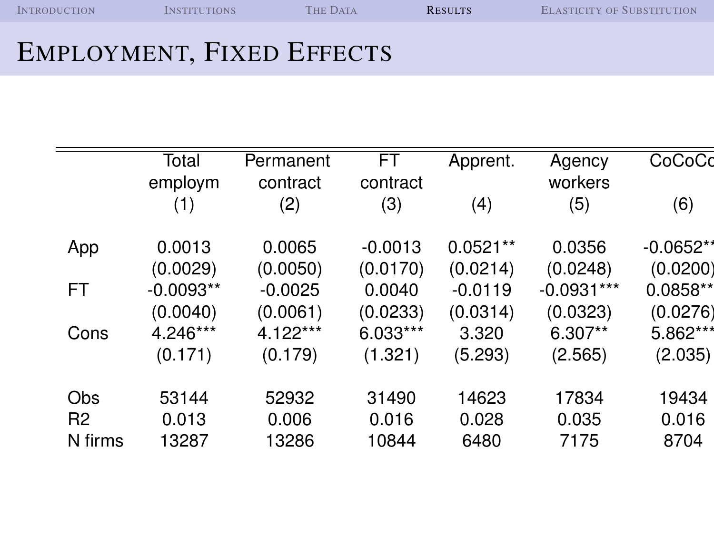I[NTRODUCTION](#page-1-0) I[NSTITUTIONS](#page-6-0) THE D[ATA](#page-14-0) R[ESULTS](#page-23-0) E[LASTICITY OF](#page-38-0) SUBSTITUTION

#### EMPLOYMENT, FIXED EFFECTS

|                | Total       | Permanent | <b>FT</b> | Apprent.   | Agency       | CoCoCd      |
|----------------|-------------|-----------|-----------|------------|--------------|-------------|
|                | employm     | contract  | contract  |            | workers      |             |
|                | (1)         | (2)       | (3)       | (4)        | (5)          | (6)         |
| App            | 0.0013      | 0.0065    | $-0.0013$ | $0.0521**$ | 0.0356       | $-0.0652**$ |
|                | (0.0029)    | (0.0050)  | (0.0170)  | (0.0214)   | (0.0248)     | (0.0200)    |
| <b>FT</b>      | $-0.0093**$ | $-0.0025$ | 0.0040    | $-0.0119$  | $-0.0931***$ | $0.0858**$  |
|                | (0.0040)    | (0.0061)  | (0.0233)  | (0.0314)   | (0.0323)     | (0.0276)    |
| Cons           | 4.246***    | 4.122***  | 6.033***  | 3.320      | $6.307**$    | 5.862***    |
|                | (0.171)     | (0.179)   | (1.321)   | (5.293)    | (2.565)      | (2.035)     |
| Obs            | 53144       | 52932     | 31490     | 14623      | 17834        | 19434       |
| R <sub>2</sub> | 0.013       | 0.006     | 0.016     | 0.028      | 0.035        | 0.016       |
| N firms        | 13287       | 13286     | 10844     | 6480       | 7175         | 8704        |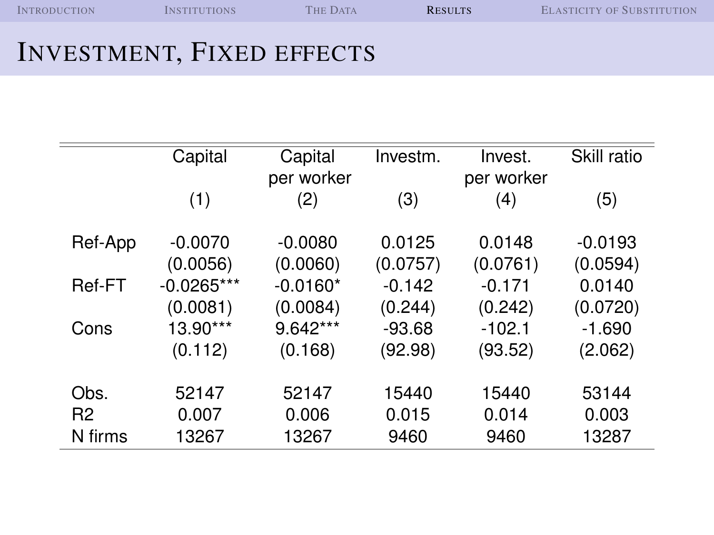| <b>INTRODUCTION</b> | <b>NSTITUTIONS</b> | <b>THE DATA</b> | <b>RESULTS</b> | <b>ELASTICITY OF SUBSTITUTION</b> |
|---------------------|--------------------|-----------------|----------------|-----------------------------------|
|                     |                    |                 |                |                                   |

### INVESTMENT, FIXED EFFECTS

|                | Capital      | Capital    | Investm. | Invest.    | Skill ratio |
|----------------|--------------|------------|----------|------------|-------------|
|                |              | per worker |          | per worker |             |
|                | (1)          | (2)        | (3)      | (4)        | (5)         |
|                |              |            |          |            |             |
| Ref-App        | $-0.0070$    | $-0.0080$  | 0.0125   | 0.0148     | $-0.0193$   |
|                | (0.0056)     | (0.0060)   | (0.0757) | (0.0761)   | (0.0594)    |
| Ref-FT         | $-0.0265***$ | $-0.0160*$ | $-0.142$ | $-0.171$   | 0.0140      |
|                | (0.0081)     | (0.0084)   | (0.244)  | (0.242)    | (0.0720)    |
| Cons           | 13.90***     | $9.642***$ | $-93.68$ | $-102.1$   | $-1.690$    |
|                | (0.112)      | (0.168)    | (92.98)  | (93.52)    | (2.062)     |
|                |              |            |          |            |             |
| Obs.           | 52147        | 52147      | 15440    | 15440      | 53144       |
| R <sub>2</sub> | 0.007        | 0.006      | 0.015    | 0.014      | 0.003       |
| N firms        | 13267        | 13267      | 9460     | 9460       | 13287       |
|                |              |            |          |            |             |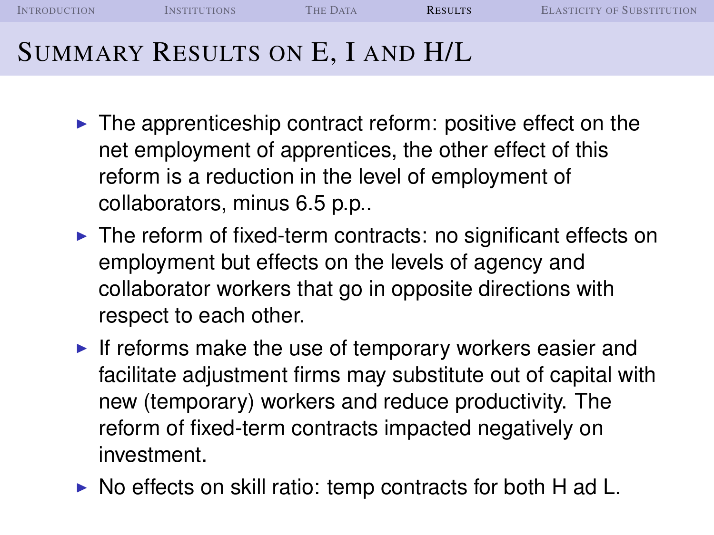I[NTRODUCTION](#page-1-0) I[NSTITUTIONS](#page-6-0) THE D[ATA](#page-14-0) **R[ESULTS](#page-23-0)** E[LASTICITY OF](#page-38-0) SUBSTITUTION

## SUMMARY RESULTS ON E, I AND H/L

- $\blacktriangleright$  The apprenticeship contract reform: positive effect on the net employment of apprentices, the other effect of this reform is a reduction in the level of employment of collaborators, minus 6.5 p.p..
- $\triangleright$  The reform of fixed-term contracts: no significant effects on employment but effects on the levels of agency and collaborator workers that go in opposite directions with respect to each other.
- If reforms make the use of temporary workers easier and facilitate adjustment firms may substitute out of capital with new (temporary) workers and reduce productivity. The reform of fixed-term contracts impacted negatively on investment.
- $\triangleright$  No effects on skill ratio: temp contracts for both H ad L.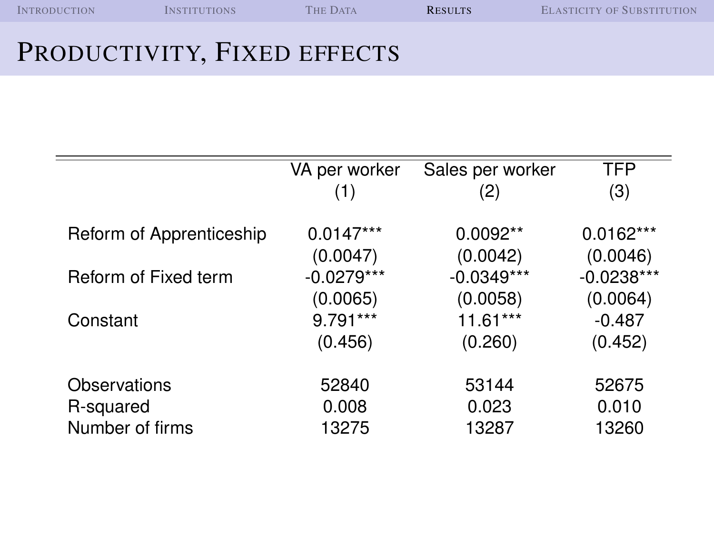| <b>INTRODUCTION</b> | <b>INSTITUTIONS</b> | <b>THE DATA</b> | <b>RESULTS</b> | <b>ELASTICITY OF SUBSTITUTION</b> |
|---------------------|---------------------|-----------------|----------------|-----------------------------------|
|                     |                     |                 |                |                                   |

## PRODUCTIVITY, FIXED EFFECTS

|                          | VA per worker | Sales per worker | <b>TFP</b>   |
|--------------------------|---------------|------------------|--------------|
|                          | (1)           | (2)              | (3)          |
|                          |               |                  |              |
| Reform of Apprenticeship | $0.0147***$   | $0.0092**$       | $0.0162***$  |
|                          | (0.0047)      | (0.0042)         | (0.0046)     |
| Reform of Fixed term     | $-0.0279***$  | $-0.0349***$     | $-0.0238***$ |
|                          | (0.0065)      | (0.0058)         | (0.0064)     |
| Constant                 | 9.791***      | $11.61***$       | $-0.487$     |
|                          | (0.456)       | (0.260)          | (0.452)      |
|                          |               |                  |              |
| Observations             | 52840         | 53144            | 52675        |
| R-squared                | 0.008         | 0.023            | 0.010        |
| Number of firms          | 13275         | 13287            | 13260        |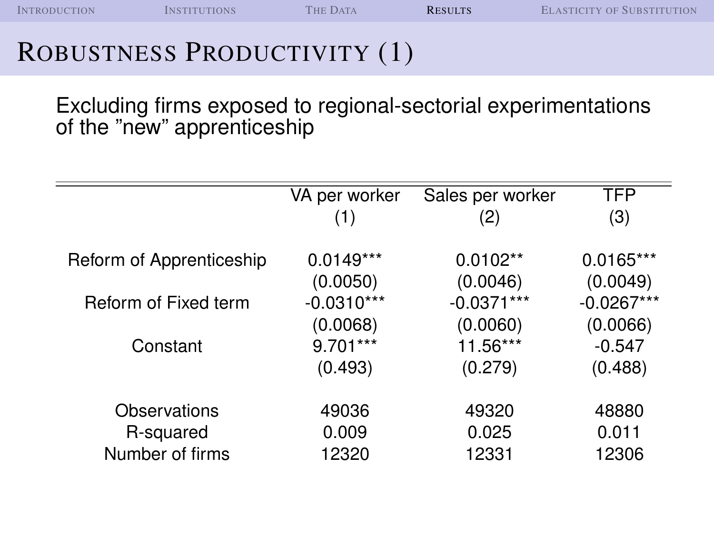## ROBUSTNESS PRODUCTIVITY (1)

Excluding firms exposed to regional-sectorial experimentations of the "new" apprenticeship

|                          | VA per worker | Sales per worker | TFP          |
|--------------------------|---------------|------------------|--------------|
|                          | (1)           | (2)              | (3)          |
|                          |               |                  |              |
| Reform of Apprenticeship | $0.0149***$   | $0.0102**$       | $0.0165***$  |
|                          | (0.0050)      | (0.0046)         | (0.0049)     |
| Reform of Fixed term     | $-0.0310***$  | $-0.0371***$     | $-0.0267***$ |
|                          | (0.0068)      | (0.0060)         | (0.0066)     |
| Constant                 | $9.701***$    | 11.56***         | $-0.547$     |
|                          | (0.493)       | (0.279)          | (0.488)      |
|                          |               |                  |              |
| Observations             | 49036         | 49320            | 48880        |
| R-squared                | 0.009         | 0.025            | 0.011        |
| Number of firms          | 12320         | 12331            | 12306        |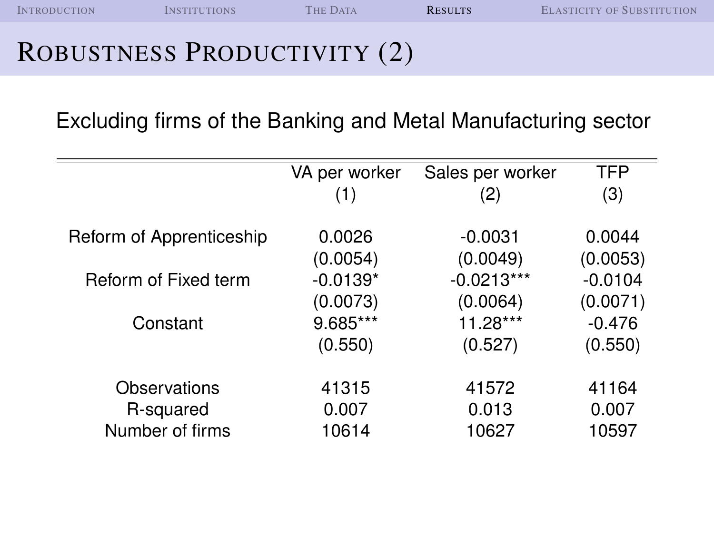I[NTRODUCTION](#page-1-0) I[NSTITUTIONS](#page-6-0) THE D[ATA](#page-14-0) **R[ESULTS](#page-23-0)** E[LASTICITY OF](#page-38-0) SUBSTITUTION

#### ROBUSTNESS PRODUCTIVITY (2)

Excluding firms of the Banking and Metal Manufacturing sector

| VA per worker | Sales per worker                         | <b>TFP</b>                   |
|---------------|------------------------------------------|------------------------------|
| (1)           | (2)                                      | (3)                          |
|               |                                          |                              |
| 0.0026        | $-0.0031$                                | 0.0044                       |
|               |                                          | (0.0053)                     |
| $-0.0139*$    | $-0.0213***$                             | $-0.0104$                    |
|               | (0.0064)                                 | (0.0071)                     |
| 9.685***      | $11.28***$                               | $-0.476$                     |
|               |                                          | (0.550)                      |
|               |                                          |                              |
| 41315         | 41572                                    | 41164                        |
|               |                                          | 0.007                        |
| 10614         | 10627                                    | 10597                        |
|               | (0.0054)<br>(0.0073)<br>(0.550)<br>0.007 | (0.0049)<br>(0.527)<br>0.013 |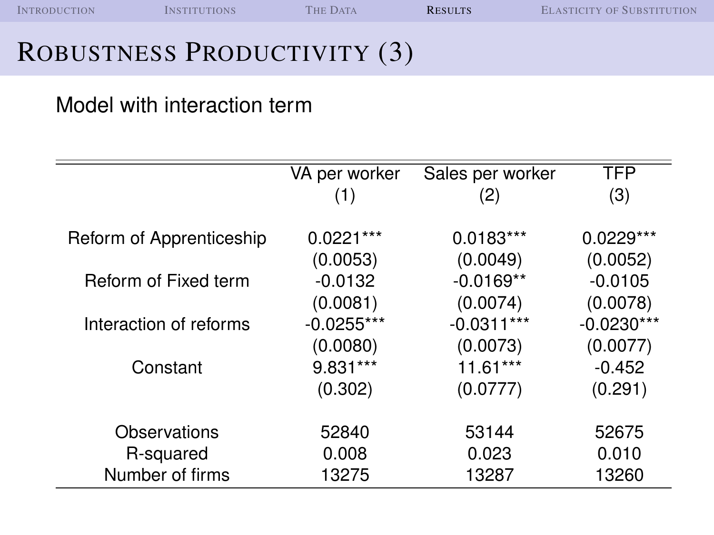## ROBUSTNESS PRODUCTIVITY (3)

#### Model with interaction term

|                          | VA per worker | Sales per worker | TFP          |
|--------------------------|---------------|------------------|--------------|
|                          | (1)           | (2)              | (3)          |
|                          |               |                  |              |
| Reform of Apprenticeship | $0.0221***$   | $0.0183***$      | $0.0229***$  |
|                          | (0.0053)      | (0.0049)         | (0.0052)     |
| Reform of Fixed term     | $-0.0132$     | $-0.0169**$      | $-0.0105$    |
|                          | (0.0081)      | (0.0074)         | (0.0078)     |
| Interaction of reforms   | $-0.0255***$  | $-0.0311***$     | $-0.0230***$ |
|                          | (0.0080)      | (0.0073)         | (0.0077)     |
| Constant                 | 9.831***      | $11.61***$       | $-0.452$     |
|                          | (0.302)       | (0.0777)         | (0.291)      |
| Observations             | 52840         | 53144            | 52675        |
|                          |               |                  |              |
| R-squared                | 0.008         | 0.023            | 0.010        |
| Number of firms          | 13275         | 13287            | 13260        |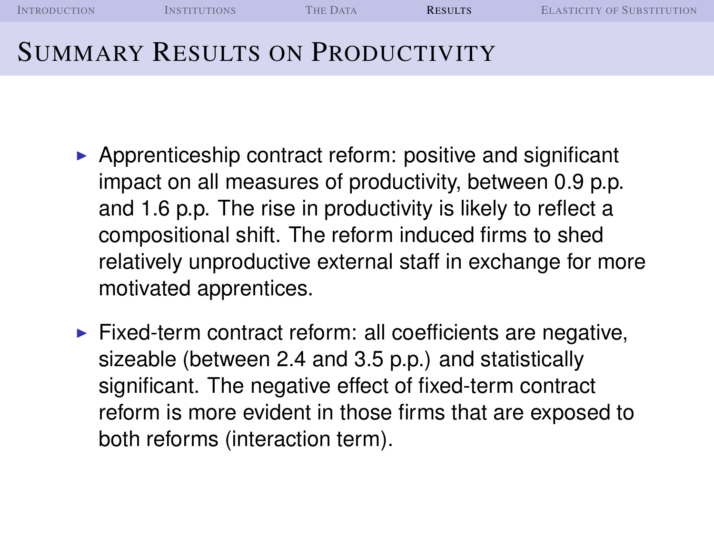| <b>INTRODUCTION</b>                    | <b>INSTITUTIONS</b> | <b>THE DATA</b> | <b>RESULTS</b> | <b>ELASTICITY OF SUBSTITUTION</b> |
|----------------------------------------|---------------------|-----------------|----------------|-----------------------------------|
| <b>SUMMARY RESULTS ON PRODUCTIVITY</b> |                     |                 |                |                                   |

- $\triangleright$  Apprenticeship contract reform: positive and significant impact on all measures of productivity, between 0.9 p.p. and 1.6 p.p. The rise in productivity is likely to reflect a compositional shift. The reform induced firms to shed relatively unproductive external staff in exchange for more motivated apprentices.
- $\blacktriangleright$  Fixed-term contract reform: all coefficients are negative, sizeable (between 2.4 and 3.5 p.p.) and statistically significant. The negative effect of fixed-term contract reform is more evident in those firms that are exposed to both reforms (interaction term).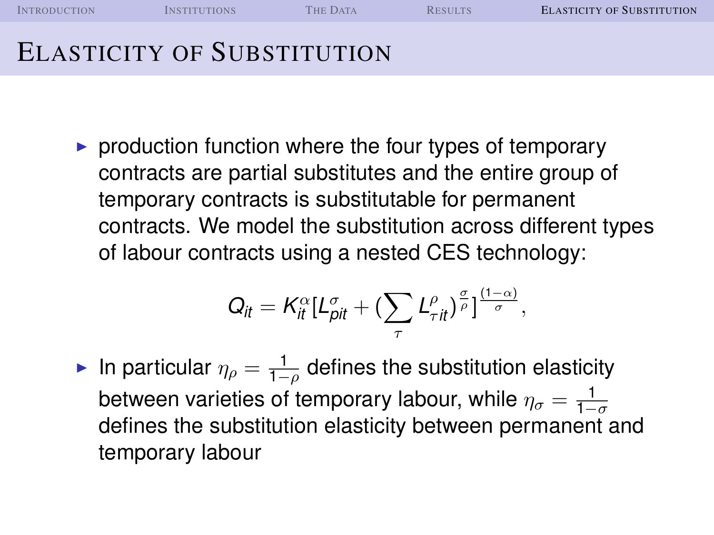I[NTRODUCTION](#page-1-0) I[NSTITUTIONS](#page-6-0) THE D[ATA](#page-14-0) R[ESULTS](#page-23-0) **E[LASTICITY OF](#page-38-0) SUBSTITUTION** ELASTICITY OF SUBSTITUTION

 $\triangleright$  production function where the four types of temporary contracts are partial substitutes and the entire group of temporary contracts is substitutable for permanent contracts. We model the substitution across different types of labour contracts using a nested CES technology:

$$
Q_{it}=K_{it}^{\alpha}[L_{pit}^{\sigma}+(\sum_{\tau}L_{\tau it}^{\rho})^{\frac{\sigma}{\rho}}]^{\frac{(1-\alpha)}{\sigma}},
$$

<span id="page-38-0"></span>► In particular  $\eta_{\rho} = \frac{1}{1-\rho}$  defines the substitution elasticity between varieties of temporary labour, while  $\eta_\sigma = \frac{1}{1-\sigma}$ defines the substitution elasticity between permanent and temporary labour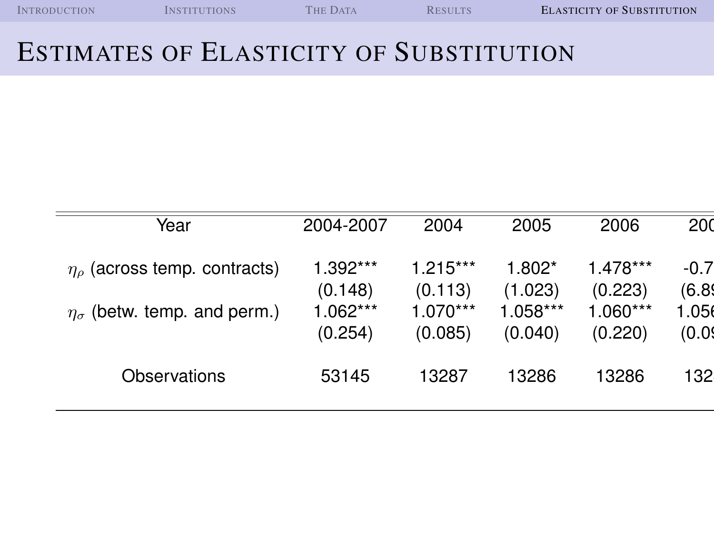| <b>INTRODUCTION</b> | <b>INSTITUTIONS</b> | <b>THE DATA</b> | <b>RESULTS</b> | <b>ELASTICITY OF SUBSTITUTION</b> |
|---------------------|---------------------|-----------------|----------------|-----------------------------------|
|                     |                     |                 |                |                                   |

#### ESTIMATES OF ELASTICITY OF SUBSTITUTION

| Year                                    | 2004-2007             | 2004                  | 2005                | 2006                | 200              |
|-----------------------------------------|-----------------------|-----------------------|---------------------|---------------------|------------------|
| $\eta_{\rho}$ (across temp. contracts)  | 1.392***<br>(0.148)   | $1.215***$<br>(0.113) | $1.802*$<br>(1.023) | 1.478***<br>(0.223) | $-0.7$<br>(6.89) |
| $\eta_{\sigma}$ (betw. temp. and perm.) | $1.062***$<br>(0.254) | $1.070***$<br>(0.085) | 1.058***<br>(0.040) | 1.060***<br>(0.220) | 1.056<br>(0.09)  |
| Observations                            | 53145                 | 13287                 | 13286               | 13286               | 132              |
|                                         |                       |                       |                     |                     |                  |